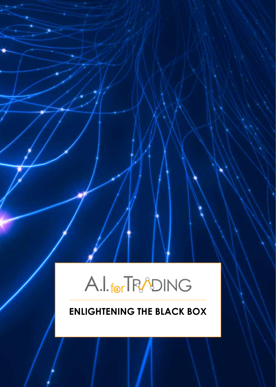# A.I. for TRADING

## **ENLIGHTENING THE BLACK BOX**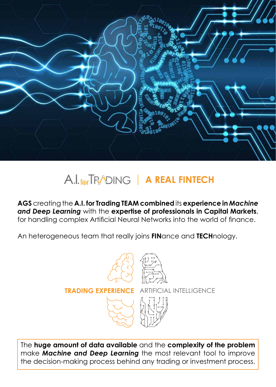

## A.I. for TRADING | A REAL FINTECH

**AGS** creating the **A.I. for Trading TEAM combined** its **experience in** *Machine and Deep Learning* with the **expertise of professionals in Capital Markets**, for handling complex Artificial Neural Networks into the world of finance.

An heterogeneous team that really joins **FIN**ance and **TECH**nology.

**TRADING EXPERIENCE** ARTIFICIAL INTELLIGENCE



The **huge amount of data available** and the **complexity of the problem** make *Machine and Deep Learning* the most relevant tool to improve the decision-making process behind any trading or investment process.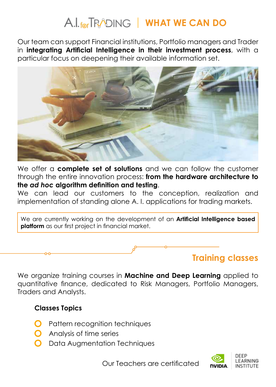## A.I. for TRADING | WHAT WE CAN DO

Our team can support Financial institutions, Portfolio managers and Trader in **integrating Artificial Intelligence in their investment process**, with a particular focus on deepening their available information set.



We offer a **complete set of solutions** and we can follow the customer through the entire innovation process: **from the hardware architecture to the** *ad hoc* **algorithm definition and testing**.

We can lead our customers to the conception, realization and implementation of standing alone A. I. applications for trading markets.

We are currently working on the development of an **Artificial Intelligence based platform** as our first project in financial market.



We organize training courses in **Machine and Deep Learning** applied to quantitative finance, dedicated to Risk Managers, Portfolio Managers, Traders and Analysts.

#### **Classes Topics**

- Pattern recognition techniques
- Analysis of time series
- Data Augmentation Techniques

Our Teachers are certificated

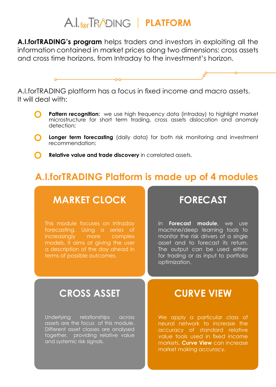## A.I. for TRADING | **PLATFORM**

**A.I.forTRADING's program** helps traders and investors in exploiting all the information contained in market prices along two dimensions: cross assets and cross time horizons, from Intraday to the investment's horizon.



A.I.forTRADING platform has a focus in fixed income and macro assets. It will deal with:

- **Pattern recognition:** we use high frequency data (intraday) to highlight market microstructure for short term trading, cross assets dislocation and anomaly detection;
- **C** longer term forecasting (daily data) for both risk monitoring and investment recommendation;
	- **Relative value and trade discovery** in correlated assets.

### **A.I.forTRADING Platform is made up of 4 modules**

#### **MARKET CLOCK**

This module focuses on Intraday forecasting. Using a series of increasingly more complex models, it aims at giving the user a description of the day ahead in terms of possible outcomes.

#### **FORECAST**

In **Forecast module**, we use machine/deep learning tools to monitor the risk drivers of a single asset and to forecast its return. The output can be used either for trading or as input to portfolio optimization.

#### **CROSS ASSET**

Underlying relationships across assets are the focus of this module. Different asset classes are analysed together, providing relative value and systemic risk signals.

### **CURVE VIEW**

We apply a particular class of neural network to increase the accuracy of standard relative value tools used in fixed income markets. **Curve View** can increase market making accuracy.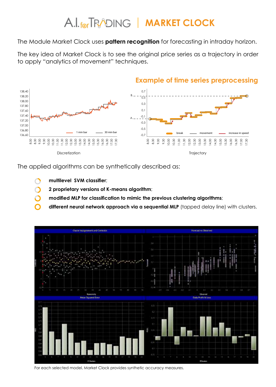# **A.I.** for **TRADING** | **MARKET CLOCK**

The Module Market Clock uses **pattern recognition** for forecasting in intraday horizon.

The key idea of Market Clock is to see the original price series as a trajectory in order to apply "analytics of movement" techniques.



The applied algorithms can be synthetically described as:

- **multilevel SVM classifier**;
- **2 proprietary versions of K-means algorithm**;
- **modified MLP for classification to mimic the previous clustering algorithms**;
- different neural network approach via a sequential MLP (tapped delay line) with clusters.



For each selected model, Market Clock provides synthetic accuracy measures.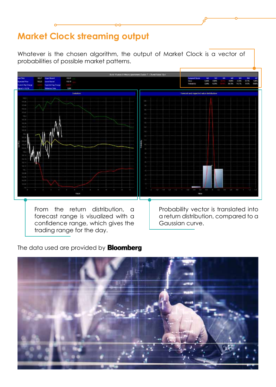### **Market Clock streaming output**

Whatever is the chosen algorithm, the output of Market Clock is a vector of probabilities of possible market patterns.



forecast range is visualized with a confidence range, which gives the trading range for the day.

a return distribution, compared to a Gaussian curve.

#### The data used are provided by **Bloomberg**